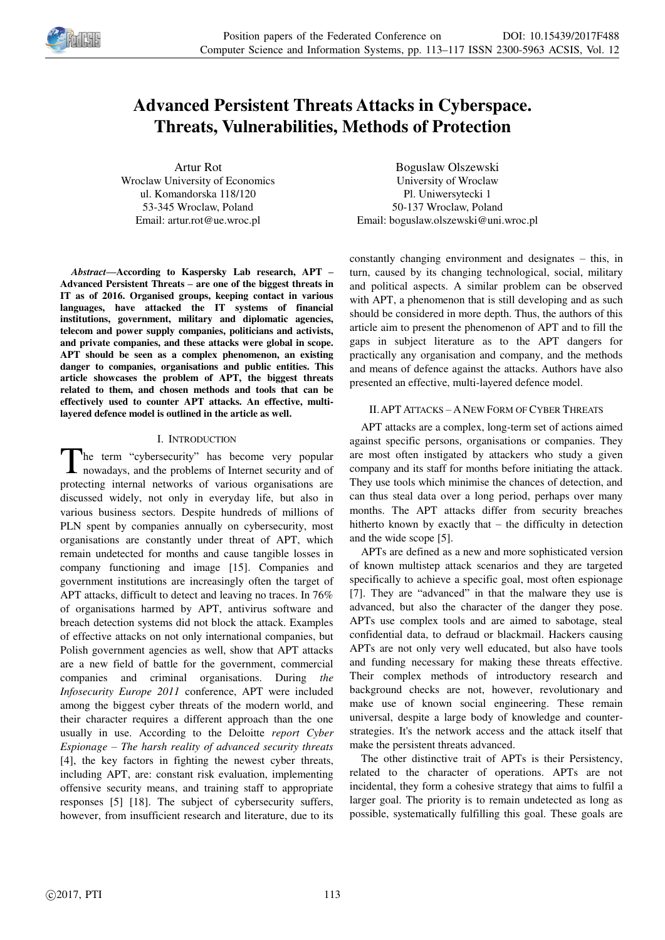

# **Advanced Persistent Threats Attacks in Cyberspace. Threats, Vulnerabilities, Methods of Protection**

Artur Rot Wroclaw University of Economics ul. Komandorska 118/120 53-345 Wroclaw, Poland Email: artur.rot@ue.wroc.pl

*Abstract—***According to Kaspersky Lab research, APT – Advanced Persistent Threats – are one of the biggest threats in IT as of 2016. Organised groups, keeping contact in various languages, have attacked the IT systems of financial institutions, government, military and diplomatic agencies, telecom and power supply companies, politicians and activists, and private companies, and these attacks were global in scope. APT should be seen as a complex phenomenon, an existing danger to companies, organisations and public entities. This article showcases the problem of APT, the biggest threats related to them, and chosen methods and tools that can be effectively used to counter APT attacks. An effective, multilayered defence model is outlined in the article as well.** 

## I. INTRODUCTION

The term "cybersecurity" has become very popular nowadays, and the problems of Internet security and of nowadays, and the problems of Internet security and of protecting internal networks of various organisations are discussed widely, not only in everyday life, but also in various business sectors. Despite hundreds of millions of PLN spent by companies annually on cybersecurity, most organisations are constantly under threat of APT, which remain undetected for months and cause tangible losses in company functioning and image [15]. Companies and government institutions are increasingly often the target of APT attacks, difficult to detect and leaving no traces. In 76% of organisations harmed by APT, antivirus software and breach detection systems did not block the attack. Examples of effective attacks on not only international companies, but Polish government agencies as well, show that APT attacks are a new field of battle for the government, commercial companies and criminal organisations. During *the Infosecurity Europe 2011* conference, APT were included among the biggest cyber threats of the modern world, and their character requires a different approach than the one usually in use. According to the Deloitte *report Cyber Espionage – The harsh reality of advanced security threats*  [4], the key factors in fighting the newest cyber threats, including APT, are: constant risk evaluation, implementing offensive security means, and training staff to appropriate responses [5] [18]. The subject of cybersecurity suffers, however, from insufficient research and literature, due to its

Boguslaw Olszewski University of Wroclaw Pl. Uniwersytecki 1 50-137 Wroclaw, Poland Email: boguslaw.olszewski@uni.wroc.pl

constantly changing environment and designates – this, in turn, caused by its changing technological, social, military and political aspects. A similar problem can be observed with APT, a phenomenon that is still developing and as such should be considered in more depth. Thus, the authors of this article aim to present the phenomenon of APT and to fill the gaps in subject literature as to the APT dangers for practically any organisation and company, and the methods and means of defence against the attacks. Authors have also presented an effective, multi-layered defence model.

# II.APT ATTACKS – ANEW FORM OF CYBER THREATS

APT attacks are a complex, long-term set of actions aimed against specific persons, organisations or companies. They are most often instigated by attackers who study a given company and its staff for months before initiating the attack. They use tools which minimise the chances of detection, and can thus steal data over a long period, perhaps over many months. The APT attacks differ from security breaches hitherto known by exactly that – the difficulty in detection and the wide scope [5].

APTs are defined as a new and more sophisticated version of known multistep attack scenarios and they are targeted specifically to achieve a specific goal, most often espionage [7]. They are "advanced" in that the malware they use is advanced, but also the character of the danger they pose. APTs use complex tools and are aimed to sabotage, steal confidential data, to defraud or blackmail. Hackers causing APTs are not only very well educated, but also have tools and funding necessary for making these threats effective. Their complex methods of introductory research and background checks are not, however, revolutionary and make use of known social engineering. These remain universal, despite a large body of knowledge and counterstrategies. It's the network access and the attack itself that make the persistent threats advanced.

The other distinctive trait of APTs is their Persistency, related to the character of operations. APTs are not incidental, they form a cohesive strategy that aims to fulfil a larger goal. The priority is to remain undetected as long as possible, systematically fulfilling this goal. These goals are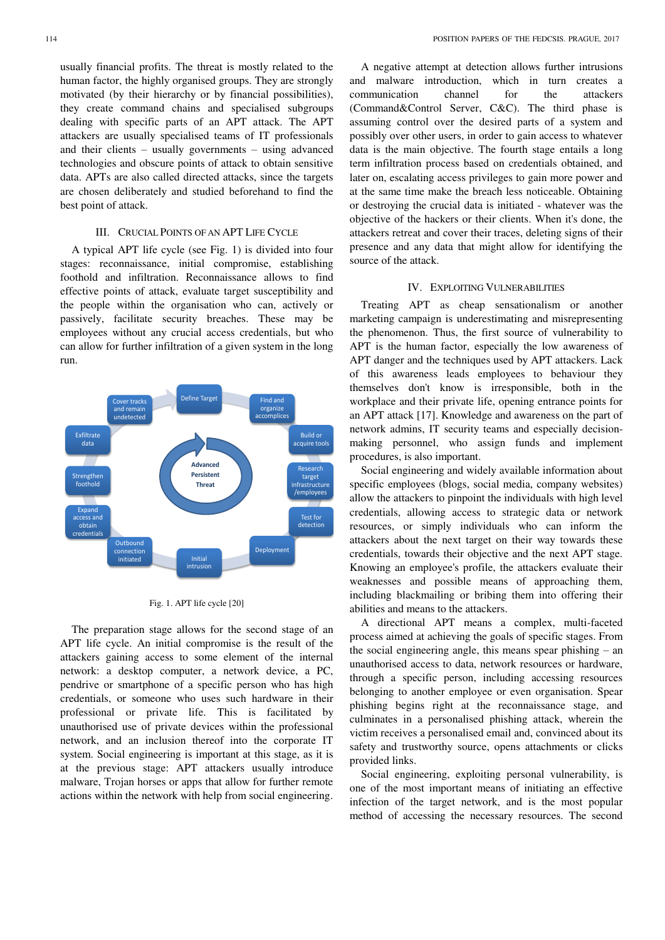usually financial profits. The threat is mostly related to the human factor, the highly organised groups. They are strongly motivated (by their hierarchy or by financial possibilities), they create command chains and specialised subgroups dealing with specific parts of an APT attack. The APT attackers are usually specialised teams of IT professionals and their clients – usually governments – using advanced technologies and obscure points of attack to obtain sensitive data. APTs are also called directed attacks, since the targets are chosen deliberately and studied beforehand to find the best point of attack.

### III. CRUCIAL POINTS OF AN APT LIFE CYCLE

A typical APT life cycle (see Fig. 1) is divided into four stages: reconnaissance, initial compromise, establishing foothold and infiltration. Reconnaissance allows to find effective points of attack, evaluate target susceptibility and the people within the organisation who can, actively or passively, facilitate security breaches. These may be employees without any crucial access credentials, but who can allow for further infiltration of a given system in the long run.



#### Fig. 1. APT life cycle [20]

The preparation stage allows for the second stage of an APT life cycle. An initial compromise is the result of the attackers gaining access to some element of the internal network: a desktop computer, a network device, a PC, pendrive or smartphone of a specific person who has high credentials, or someone who uses such hardware in their professional or private life. This is facilitated by unauthorised use of private devices within the professional network, and an inclusion thereof into the corporate IT system. Social engineering is important at this stage, as it is at the previous stage: APT attackers usually introduce malware, Trojan horses or apps that allow for further remote actions within the network with help from social engineering.

A negative attempt at detection allows further intrusions and malware introduction, which in turn creates a communication channel for the attackers (Command&Control Server, C&C). The third phase is assuming control over the desired parts of a system and possibly over other users, in order to gain access to whatever data is the main objective. The fourth stage entails a long term infiltration process based on credentials obtained, and later on, escalating access privileges to gain more power and at the same time make the breach less noticeable. Obtaining or destroying the crucial data is initiated - whatever was the objective of the hackers or their clients. When it's done, the attackers retreat and cover their traces, deleting signs of their presence and any data that might allow for identifying the source of the attack.

## IV. EXPLOITING VULNERABILITIES

Treating APT as cheap sensationalism or another marketing campaign is underestimating and misrepresenting the phenomenon. Thus, the first source of vulnerability to APT is the human factor, especially the low awareness of APT danger and the techniques used by APT attackers. Lack of this awareness leads employees to behaviour they themselves don't know is irresponsible, both in the workplace and their private life, opening entrance points for an APT attack [17]. Knowledge and awareness on the part of network admins, IT security teams and especially decisionmaking personnel, who assign funds and implement procedures, is also important.

Social engineering and widely available information about specific employees (blogs, social media, company websites) allow the attackers to pinpoint the individuals with high level credentials, allowing access to strategic data or network resources, or simply individuals who can inform the attackers about the next target on their way towards these credentials, towards their objective and the next APT stage. Knowing an employee's profile, the attackers evaluate their weaknesses and possible means of approaching them, including blackmailing or bribing them into offering their abilities and means to the attackers.

A directional APT means a complex, multi-faceted process aimed at achieving the goals of specific stages. From the social engineering angle, this means spear phishing – an unauthorised access to data, network resources or hardware, through a specific person, including accessing resources belonging to another employee or even organisation. Spear phishing begins right at the reconnaissance stage, and culminates in a personalised phishing attack, wherein the victim receives a personalised email and, convinced about its safety and trustworthy source, opens attachments or clicks provided links.

Social engineering, exploiting personal vulnerability, is one of the most important means of initiating an effective infection of the target network, and is the most popular method of accessing the necessary resources. The second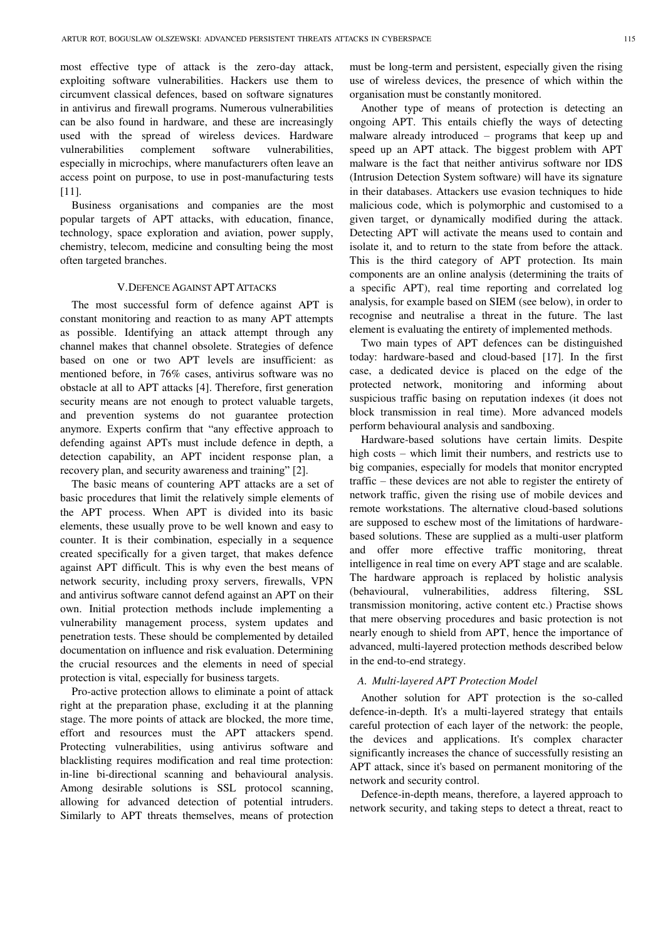most effective type of attack is the zero-day attack, exploiting software vulnerabilities. Hackers use them to circumvent classical defences, based on software signatures in antivirus and firewall programs. Numerous vulnerabilities can be also found in hardware, and these are increasingly used with the spread of wireless devices. Hardware vulnerabilities complement software vulnerabilities, especially in microchips, where manufacturers often leave an access point on purpose, to use in post-manufacturing tests [11].

Business organisations and companies are the most popular targets of APT attacks, with education, finance, technology, space exploration and aviation, power supply, chemistry, telecom, medicine and consulting being the most often targeted branches.

#### V.DEFENCE AGAINST APT ATTACKS

The most successful form of defence against APT is constant monitoring and reaction to as many APT attempts as possible. Identifying an attack attempt through any channel makes that channel obsolete. Strategies of defence based on one or two APT levels are insufficient: as mentioned before, in 76% cases, antivirus software was no obstacle at all to APT attacks [4]. Therefore, first generation security means are not enough to protect valuable targets, and prevention systems do not guarantee protection anymore. Experts confirm that "any effective approach to defending against APTs must include defence in depth, a detection capability, an APT incident response plan, a recovery plan, and security awareness and training" [2].

The basic means of countering APT attacks are a set of basic procedures that limit the relatively simple elements of the APT process. When APT is divided into its basic elements, these usually prove to be well known and easy to counter. It is their combination, especially in a sequence created specifically for a given target, that makes defence against APT difficult. This is why even the best means of network security, including proxy servers, firewalls, VPN and antivirus software cannot defend against an APT on their own. Initial protection methods include implementing a vulnerability management process, system updates and penetration tests. These should be complemented by detailed documentation on influence and risk evaluation. Determining the crucial resources and the elements in need of special protection is vital, especially for business targets.

Pro-active protection allows to eliminate a point of attack right at the preparation phase, excluding it at the planning stage. The more points of attack are blocked, the more time, effort and resources must the APT attackers spend. Protecting vulnerabilities, using antivirus software and blacklisting requires modification and real time protection: in-line bi-directional scanning and behavioural analysis. Among desirable solutions is SSL protocol scanning, allowing for advanced detection of potential intruders. Similarly to APT threats themselves, means of protection

must be long-term and persistent, especially given the rising use of wireless devices, the presence of which within the organisation must be constantly monitored.

Another type of means of protection is detecting an ongoing APT. This entails chiefly the ways of detecting malware already introduced – programs that keep up and speed up an APT attack. The biggest problem with APT malware is the fact that neither antivirus software nor IDS (Intrusion Detection System software) will have its signature in their databases. Attackers use evasion techniques to hide malicious code, which is polymorphic and customised to a given target, or dynamically modified during the attack. Detecting APT will activate the means used to contain and isolate it, and to return to the state from before the attack. This is the third category of APT protection. Its main components are an online analysis (determining the traits of a specific APT), real time reporting and correlated log analysis, for example based on SIEM (see below), in order to recognise and neutralise a threat in the future. The last element is evaluating the entirety of implemented methods.

Two main types of APT defences can be distinguished today: hardware-based and cloud-based [17]. In the first case, a dedicated device is placed on the edge of the protected network, monitoring and informing about suspicious traffic basing on reputation indexes (it does not block transmission in real time). More advanced models perform behavioural analysis and sandboxing.

Hardware-based solutions have certain limits. Despite high costs – which limit their numbers, and restricts use to big companies, especially for models that monitor encrypted traffic – these devices are not able to register the entirety of network traffic, given the rising use of mobile devices and remote workstations. The alternative cloud-based solutions are supposed to eschew most of the limitations of hardwarebased solutions. These are supplied as a multi-user platform and offer more effective traffic monitoring, threat intelligence in real time on every APT stage and are scalable. The hardware approach is replaced by holistic analysis (behavioural, vulnerabilities, address filtering, SSL transmission monitoring, active content etc.) Practise shows that mere observing procedures and basic protection is not nearly enough to shield from APT, hence the importance of advanced, multi-layered protection methods described below in the end-to-end strategy.

### *A. Multi-layered APT Protection Model*

Another solution for APT protection is the so-called defence-in-depth. It's a multi-layered strategy that entails careful protection of each layer of the network: the people, the devices and applications. It's complex character significantly increases the chance of successfully resisting an APT attack, since it's based on permanent monitoring of the network and security control.

Defence-in-depth means, therefore, a layered approach to network security, and taking steps to detect a threat, react to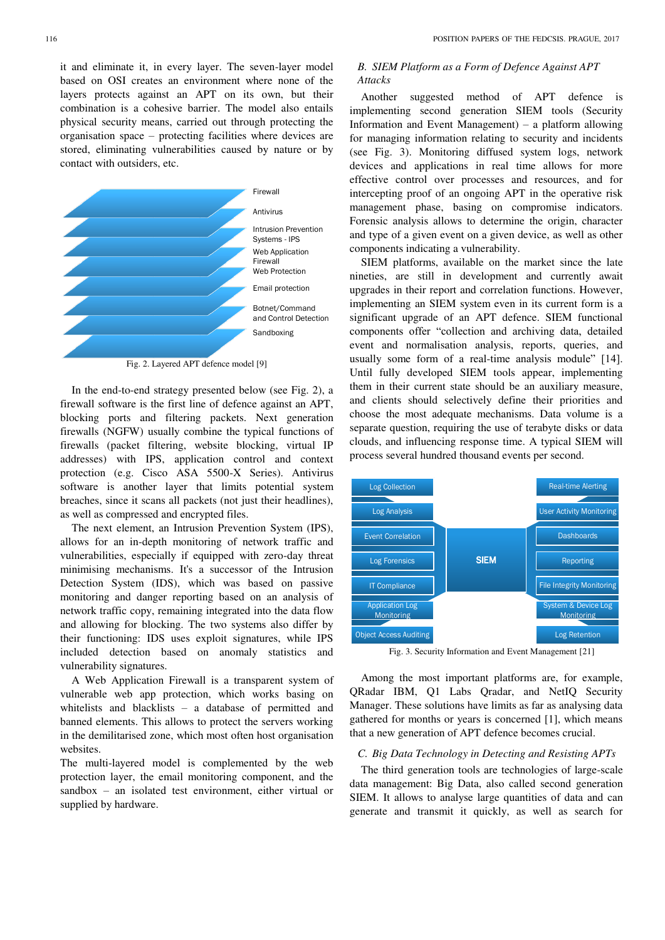it and eliminate it, in every layer. The seven-layer model based on OSI creates an environment where none of the layers protects against an APT on its own, but their combination is a cohesive barrier. The model also entails physical security means, carried out through protecting the organisation space – protecting facilities where devices are stored, eliminating vulnerabilities caused by nature or by contact with outsiders, etc.



Fig. 2. Layered APT defence model [9]

In the end-to-end strategy presented below (see Fig. 2), a firewall software is the first line of defence against an APT, blocking ports and filtering packets. Next generation firewalls (NGFW) usually combine the typical functions of firewalls (packet filtering, website blocking, virtual IP addresses) with IPS, application control and context protection (e.g. Cisco ASA 5500-X Series). Antivirus software is another layer that limits potential system breaches, since it scans all packets (not just their headlines), as well as compressed and encrypted files.

The next element, an Intrusion Prevention System (IPS), allows for an in-depth monitoring of network traffic and vulnerabilities, especially if equipped with zero-day threat minimising mechanisms. It's a successor of the Intrusion Detection System (IDS), which was based on passive monitoring and danger reporting based on an analysis of network traffic copy, remaining integrated into the data flow and allowing for blocking. The two systems also differ by their functioning: IDS uses exploit signatures, while IPS included detection based on anomaly statistics and vulnerability signatures.

A Web Application Firewall is a transparent system of vulnerable web app protection, which works basing on whitelists and blacklists – a database of permitted and banned elements. This allows to protect the servers working in the demilitarised zone, which most often host organisation websites.

The multi-layered model is complemented by the web protection layer, the email monitoring component, and the sandbox – an isolated test environment, either virtual or supplied by hardware.

# *B. SIEM Platform as a Form of Defence Against APT Attacks*

Another suggested method of APT defence is implementing second generation SIEM tools (Security Information and Event Management) – a platform allowing for managing information relating to security and incidents (see Fig. 3). Monitoring diffused system logs, network devices and applications in real time allows for more effective control over processes and resources, and for intercepting proof of an ongoing APT in the operative risk management phase, basing on compromise indicators. Forensic analysis allows to determine the origin, character and type of a given event on a given device, as well as other components indicating a vulnerability.

SIEM platforms, available on the market since the late nineties, are still in development and currently await upgrades in their report and correlation functions. However, implementing an SIEM system even in its current form is a significant upgrade of an APT defence. SIEM functional components offer "collection and archiving data, detailed event and normalisation analysis, reports, queries, and usually some form of a real-time analysis module" [14]. Until fully developed SIEM tools appear, implementing them in their current state should be an auxiliary measure, and clients should selectively define their priorities and choose the most adequate mechanisms. Data volume is a separate question, requiring the use of terabyte disks or data clouds, and influencing response time. A typical SIEM will process several hundred thousand events per second.



Fig. 3. Security Information and Event Management [21]

Among the most important platforms are, for example, QRadar IBM, Q1 Labs Qradar, and NetIQ Security Manager. These solutions have limits as far as analysing data gathered for months or years is concerned [1], which means that a new generation of APT defence becomes crucial.

## *C. Big Data Technology in Detecting and Resisting APTs*

The third generation tools are technologies of large-scale data management: Big Data, also called second generation SIEM. It allows to analyse large quantities of data and can generate and transmit it quickly, as well as search for